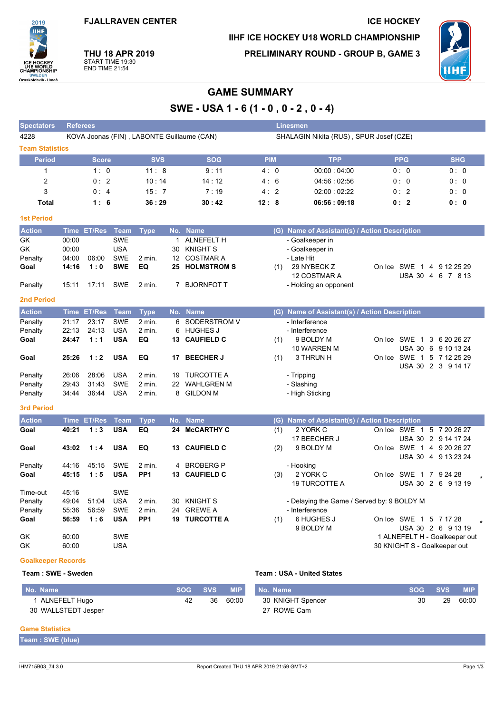**FJALLRAVEN CENTER** 

# IIHF ICE HOCKEY U18 WORLD CHAMPIONSHIP

**PRELIMINARY ROUND - GROUP B, GAME 3** 



**ICE HOCKEY** 

**THU 18 APR 2019** START TIME 19:30<br>END TIME 21:54

2019 **IIHF** 

U18 WORLD<br>CHAMPIONSHIP

Örnsköldsvik - Umeå

## **GAME SUMMARY**

SWE - USA 1 - 6 (1 - 0, 0 - 2, 0 - 4)

| <b>Spectators</b>      | <b>Referees</b>                            |                    |             |                 |                   |                       | Linesmen                                |  |                                               |  |                        |  |                                                 |  |
|------------------------|--------------------------------------------|--------------------|-------------|-----------------|-------------------|-----------------------|-----------------------------------------|--|-----------------------------------------------|--|------------------------|--|-------------------------------------------------|--|
| 4228                   | KOVA Joonas (FIN), LABONTE Guillaume (CAN) |                    |             |                 |                   |                       | SHALAGIN Nikita (RUS), SPUR Josef (CZE) |  |                                               |  |                        |  |                                                 |  |
| <b>Team Statistics</b> |                                            |                    |             |                 |                   |                       |                                         |  |                                               |  |                        |  |                                                 |  |
| <b>Period</b>          |                                            | <b>Score</b>       |             | <b>SVS</b>      |                   | <b>SOG</b>            | <b>PIM</b>                              |  | <b>TPP</b>                                    |  | <b>PPG</b>             |  | <b>SHG</b>                                      |  |
| $\mathbf{1}$           |                                            | 1:0                |             | 11:8            |                   | 9:11                  | 4:0                                     |  | 00.00:04:00                                   |  | 0:0                    |  | 0:0                                             |  |
| $\overline{c}$         |                                            | 0:2                |             | 10:14           |                   | 14:12                 | 4:6                                     |  | 04:56:02:56                                   |  | 0:0                    |  | 0: 0                                            |  |
| 3                      |                                            | 0:4                |             | 15:7            |                   | 7:19                  | 4:2                                     |  | 02:00:02:22                                   |  | 0:2                    |  | 0: 0                                            |  |
| Total                  |                                            | 1:6                |             | 36:29           |                   | 30:42                 | 12:8                                    |  | 06:56:09:18                                   |  | 0:2                    |  | 0: 0                                            |  |
| <b>1st Period</b>      |                                            |                    |             |                 |                   |                       |                                         |  |                                               |  |                        |  |                                                 |  |
| <b>Action</b>          |                                            | Time ET/Res        | <b>Team</b> | <b>Type</b>     |                   | No. Name              |                                         |  | (G) Name of Assistant(s) / Action Description |  |                        |  |                                                 |  |
| GK                     | 00:00                                      |                    | <b>SWE</b>  |                 | $\mathbf{1}$      | <b>ALNEFELT H</b>     |                                         |  | - Goalkeeper in                               |  |                        |  |                                                 |  |
| GK                     | 00:00                                      |                    | <b>USA</b>  |                 | 30                | <b>KNIGHT S</b>       |                                         |  | - Goalkeeper in                               |  |                        |  |                                                 |  |
| Penalty                | 04:00                                      | 06:00              | <b>SWE</b>  | $2$ min.        | $12 \overline{ }$ | <b>COSTMAR A</b>      |                                         |  | - Late Hit                                    |  |                        |  |                                                 |  |
| Goal                   | 14:16                                      | 1:0                | <b>SWE</b>  | EQ              |                   | <b>25 HOLMSTROM S</b> | (1)                                     |  | 29 NYBECK Z                                   |  |                        |  | On Ice SWE 1 4 9 12 25 29                       |  |
|                        |                                            |                    |             |                 |                   |                       |                                         |  | 12 COSTMAR A                                  |  |                        |  | USA 30 4 6 7 8 13                               |  |
| Penalty                | 15:11                                      | 17:11              | <b>SWE</b>  | 2 min.          |                   | 7 BJORNFOT T          |                                         |  | - Holding an opponent                         |  |                        |  |                                                 |  |
| <b>2nd Period</b>      |                                            |                    |             |                 |                   |                       |                                         |  |                                               |  |                        |  |                                                 |  |
| <b>Action</b>          |                                            | <b>Time ET/Res</b> | <b>Team</b> | <b>Type</b>     |                   | No. Name              |                                         |  | (G) Name of Assistant(s) / Action Description |  |                        |  |                                                 |  |
| Penalty                | 21:17                                      | 23:17              | <b>SWE</b>  | $2$ min.        | 6                 | SODERSTROM V          |                                         |  | - Interference                                |  |                        |  |                                                 |  |
| Penalty                | 22:13                                      | 24:13              | <b>USA</b>  | 2 min.          |                   | 6 HUGHES J            |                                         |  | - Interference                                |  |                        |  |                                                 |  |
| Goal                   | 24:47                                      | 1:1                | <b>USA</b>  | EQ              | 13                | <b>CAUFIELD C</b>     | (1)                                     |  | 9 BOLDY M                                     |  |                        |  | On Ice SWE 1 3 6 20 26 27                       |  |
|                        |                                            |                    |             |                 |                   |                       |                                         |  | 10 WARREN M                                   |  |                        |  | USA 30 6 9 10 13 24                             |  |
| Goal                   | 25:26                                      | 1:2                | <b>USA</b>  | EQ              | 17                | <b>BEECHER J</b>      | (1)                                     |  | 3 THRUN H                                     |  |                        |  | On Ice SWE 1 5 7 12 25 29<br>USA 30 2 3 9 14 17 |  |
| Penalty                | 26:06                                      | 28:06              | <b>USA</b>  | 2 min.          |                   | 19 TURCOTTE A         |                                         |  | - Tripping                                    |  |                        |  |                                                 |  |
| Penalty                | 29:43                                      | 31:43              | <b>SWE</b>  | $2$ min.        | 22                | <b>WAHLGREN M</b>     |                                         |  | - Slashing                                    |  |                        |  |                                                 |  |
| Penalty                | 34.44                                      | 36:44              | <b>USA</b>  | 2 min.          | 8                 | <b>GILDON M</b>       |                                         |  | - High Sticking                               |  |                        |  |                                                 |  |
| 3rd Period             |                                            |                    |             |                 |                   |                       |                                         |  |                                               |  |                        |  |                                                 |  |
| <b>Action</b>          |                                            | Time ET/Res        | <b>Team</b> | <b>Type</b>     | No.               | <b>Name</b>           |                                         |  | (G) Name of Assistant(s) / Action Description |  |                        |  |                                                 |  |
| Goal                   | 40:21                                      | 1:3                | <b>USA</b>  | EQ              | 24                | <b>MCCARTHY C</b>     | (1)                                     |  | 2 YORK C                                      |  | On Ice SWE 1           |  | 5 7 20 26 27                                    |  |
|                        |                                            |                    |             |                 |                   |                       |                                         |  | 17 BEECHER J                                  |  |                        |  | USA 30 2 9 14 17 24                             |  |
| Goal                   | 43:02                                      | 1:4                | <b>USA</b>  | EQ              | 13                | <b>CAUFIELD C</b>     | (2)                                     |  | 9 BOLDY M                                     |  |                        |  | On Ice SWE 1 4 9 20 26 27                       |  |
|                        |                                            |                    |             |                 |                   |                       |                                         |  |                                               |  |                        |  | USA 30 4 9 13 23 24                             |  |
| Penalty                | 44:16                                      | 45:15              | <b>SWE</b>  | 2 min.          | 4                 | <b>BROBERG P</b>      |                                         |  | - Hooking                                     |  |                        |  |                                                 |  |
| Goal                   | 45:15                                      | 1:5                | <b>USA</b>  | PP <sub>1</sub> | 13                | <b>CAUFIELD C</b>     | (3)                                     |  | 2 YORK C                                      |  | On Ice SWE 1 7 9 24 28 |  |                                                 |  |
|                        |                                            |                    |             |                 |                   |                       |                                         |  | <b>19 TURCOTTE A</b>                          |  |                        |  | USA 30 2 6 9 13 19                              |  |
| Time-out               | 45:16                                      |                    | <b>SWE</b>  |                 |                   |                       |                                         |  |                                               |  |                        |  |                                                 |  |
| Penalty                | 49:04                                      | 51:04              | <b>USA</b>  | $2$ min.        | 30                | <b>KNIGHT S</b>       |                                         |  | - Delaying the Game / Served by: 9 BOLDY M    |  |                        |  |                                                 |  |
| Penalty                | 55:36                                      | 56:59              | <b>SWE</b>  | 2 min.          | 24                | <b>GREWE A</b>        |                                         |  | - Interference                                |  |                        |  |                                                 |  |
| Goal                   | 56:59                                      | 1:6                | <b>USA</b>  | PP <sub>1</sub> | 19                | <b>TURCOTTE A</b>     | (1)                                     |  | 6 HUGHES J<br>9 BOLDY M                       |  | On Ice SWE 1 5 7 17 28 |  | USA 30 2 6 9 13 19                              |  |
| GK                     | 60:00                                      |                    | <b>SWE</b>  |                 |                   |                       |                                         |  |                                               |  |                        |  | 1 ALNEFELT H - Goalkeeper out                   |  |
| GK                     | 60:00                                      |                    | <b>USA</b>  |                 |                   |                       |                                         |  |                                               |  |                        |  | 30 KNIGHT S - Goalkeeper out                    |  |
| OpenHighway Department |                                            |                    |             |                 |                   |                       |                                         |  |                                               |  |                        |  |                                                 |  |

#### **Goalkeeper Records** Team: SWE - Sweden

#### Team: USA - United States

| No. Name            |    | SOG SVS | <b>MIP</b> | No. Name          |    | SOG SVS | <b>MIP</b> |
|---------------------|----|---------|------------|-------------------|----|---------|------------|
| ALNEFELT Hugo       | 42 | 36      | 60.00      | 30 KNIGHT Spencer | 30 | 29      | 60:00      |
| 30 WALLSTEDT Jesper |    |         |            | 27 ROWE Cam       |    |         |            |

#### **Game Statistics**

| Team: SWE (blue) |  |  |
|------------------|--|--|
|                  |  |  |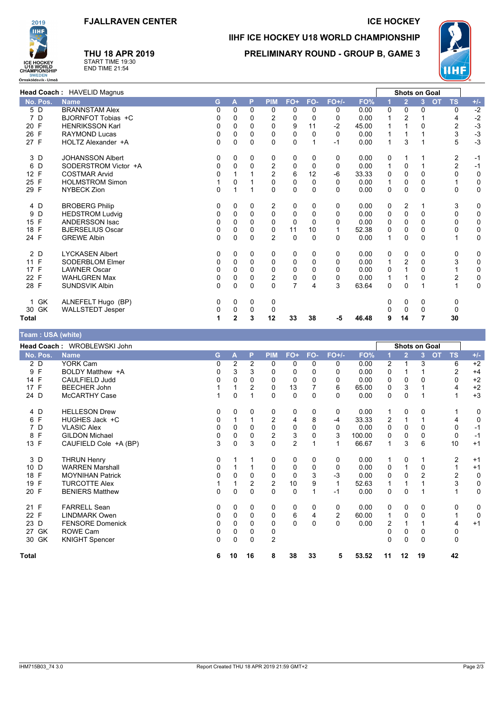

### **THU 18 APR 2019** START TIME 19:30<br>END TIME 21:54

### **ICE HOCKEY**

### IIHF ICE HOCKEY U18 WORLD CHAMPIONSHIP **PRELIMINARY ROUND - GROUP B. GAME 3**



|                      | Head Coach: HAVELID Magnus |              |             |             |                |                |          |          |       |              | Shots on Goal  |          |                        |                         |
|----------------------|----------------------------|--------------|-------------|-------------|----------------|----------------|----------|----------|-------|--------------|----------------|----------|------------------------|-------------------------|
| No. Pos.             | <b>Name</b>                | G.           | A           | P           | <b>PIM</b>     | $FO+$          | FO-      | $FO+/-$  | FO%   |              | $\overline{2}$ | 3        | <b>OT</b><br><b>TS</b> | $+/-$                   |
| 5 D                  | <b>BRANNSTAM Alex</b>      | 0            | $\Omega$    | $\Omega$    | 0              | 0              | 0        | 0        | 0.00  | 0            | 0              | 0        |                        | $-2$<br>0               |
| 7<br>D               | BJORNFOT Tobias +C         | 0            | 0           | $\Omega$    | $\overline{2}$ | 0              | 0        | 0        | 0.00  | 1            | 2              |          |                        | $-2$<br>4               |
| 20 F                 | <b>HENRIKSSON Karl</b>     | 0            | 0           | 0           | $\Omega$       | 9              | 11       | $-2$     | 45.00 |              |                | 0        |                        | $-3$<br>$\overline{c}$  |
| 26 F                 | <b>RAYMOND Lucas</b>       | 0            | 0           | 0           | 0              | 0              | 0        | 0        | 0.00  | 1            |                |          |                        | $-3$<br>3               |
| 27 F                 | HOLTZ Alexander +A         | $\Omega$     | $\Omega$    | $\Omega$    | $\Omega$       | 0              |          | $-1$     | 0.00  | $\mathbf{1}$ | 3              |          |                        | 5<br>$-3$               |
| 3 D                  | <b>JOHANSSON Albert</b>    | 0            | 0           | 0           | 0              | 0              | 0        | 0        | 0.00  | 0            |                |          |                        | 2<br>$-1$               |
| D<br>6               | SODERSTROM Victor +A       | $\Omega$     | $\Omega$    | $\Omega$    | 2              | 0              | 0        | 0        | 0.00  | 1            | 0              |          |                        | $\overline{2}$<br>$-1$  |
| 12 F                 | <b>COSTMAR Arvid</b>       | 0            |             |             | $\overline{2}$ | 6              | 12       | $-6$     | 33.33 | 0            | $\Omega$       | $\Omega$ |                        | 0<br>$\mathbf 0$        |
| $\mathsf{F}$<br>25   | <b>HOLMSTROM Simon</b>     |              | 0           |             | 0              | 0              | 0        | 0        | 0.00  | 1            | $\mathbf 0$    | $\Omega$ |                        | 0                       |
| 29 F                 | NYBECK Zion                | $\Omega$     |             |             | 0              | 0              | $\Omega$ | $\Omega$ | 0.00  | 0            | $\Omega$       | $\Omega$ |                        | $\mathbf 0$<br>$\Omega$ |
| 4 D                  | <b>BROBERG Philip</b>      | 0            | 0           | $\Omega$    | 2              | 0              | 0        | 0        | 0.00  | 0            | 2              |          |                        | 0<br>3                  |
| D<br>9               | <b>HEDSTROM Ludvig</b>     | 0            | $\Omega$    | $\Omega$    | 0              | 0              | 0        | $\Omega$ | 0.00  | 0            | $\mathbf 0$    | 0        |                        | 0<br>0                  |
| F<br>15              | <b>ANDERSSON Isac</b>      | $\Omega$     | $\Omega$    | 0           | 0              | $\Omega$       | $\Omega$ | $\Omega$ | 0.00  | 0            | $\Omega$       | $\Omega$ |                        | $\mathbf 0$<br>0        |
| F<br>18              | <b>BJERSELIUS Oscar</b>    | 0            | 0           | $\mathbf 0$ | 0              | 11             | 10       |          | 52.38 | 0            | 0              | 0        |                        | 0<br>0                  |
| 24 F                 | <b>GREWE Albin</b>         | $\mathbf{0}$ | $\mathbf 0$ | $\Omega$    | $\overline{2}$ | 0              | $\Omega$ | $\Omega$ | 0.00  | $\mathbf 1$  | 0              | $\Omega$ |                        | $\mathbf 0$             |
| 2 D                  | <b>LYCKASEN Albert</b>     | 0            | 0           | 0           | 0              | 0              | 0        | 0        | 0.00  | 0            | 0              | 0        |                        | 0<br>0                  |
| 11 F                 | <b>SODERBLOM Elmer</b>     | 0            | 0           | 0           | 0              | 0              | 0        | 0        | 0.00  | 1            | 2              | $\Omega$ |                        | $\mathbf 0$<br>3        |
| F<br>17 <sup>2</sup> | <b>LAWNER Oscar</b>        | $\Omega$     | 0           | $\Omega$    | $\Omega$       | 0              | 0        | 0        | 0.00  | 0            |                | 0        |                        | $\mathbf 0$             |
| $\mathsf{F}$<br>22   | <b>WAHLGREN Max</b>        | $\Omega$     | $\Omega$    | 0           | 2              | 0              | 0        | 0        | 0.00  | 1            |                | 0        |                        | $\mathbf 0$<br>2        |
| 28 F                 | <b>SUNDSVIK Albin</b>      | $\Omega$     | $\Omega$    | $\Omega$    | $\Omega$       | $\overline{7}$ | 4        | 3        | 63.64 | 0            | $\Omega$       |          |                        | $\mathbf 0$             |
| GK<br>1              | ALNEFELT Hugo (BP)         | 0            | 0           | 0           | 0              |                |          |          |       | 0            | 0              | 0        |                        | 0                       |
| 30 GK                | <b>WALLSTEDT Jesper</b>    | 0            | 0           | 0           | 0              |                |          |          |       |              | 0              | 0        |                        | 0                       |
| Total                |                            |              | 2           | 3           | 12             | 33             | 38       | -5       | 46.48 | 9            | 14             | 7        |                        | 30                      |

#### Team : USA (white) Head Coach: WROBLEWSKI John **Shots on Goal** FO+/-No. Pos. **Name** G Þ **PIM** FO+ FO- $FO<sup>o</sup>$  $\overline{\mathbf{A}}$  $\overline{3}$  $\Omega$ **TS**  $+1 2D$ **YORK Cam**  $\overline{0}$  $\overline{2}$  $\overline{2}$  $\overline{0}$  $\overline{0}$  $\overline{0}$  $\overline{0}$  $0.00$  $\overline{+2}$  $\overline{2}$  $\mathbf{1}$  $\overline{\mathbf{3}}$  $\overline{6}$  $9F$ BOLDY Matthew +A  $\Omega$  $\overline{3}$  $\Omega$  $\Omega$  $\overline{0}$  $\Omega$  $0.00$  $\Omega$  $\overline{2}$  $+4$  $\overline{3}$  $\overline{1}$  $\mathbf{1}$ 14 F CAULFIELD Judd 0  $\pmb{0}$  $\pmb{0}$  $\pmb{0}$  $\pmb{0}$  $\mathbf 0$  $\mathsf 0$  $0.00$  $\mathbf 0$  $\pmb{0}$  $\mathbf 0$  $\pmb{0}$  $+2$  $17 F$ **BEECHER John** 65.00  $+2$  $\overline{2}$  $\mathbf 0$ 13  $\overline{7}$  $6\phantom{a}$  $\overline{0}$  $\overline{4}$ 3  $\overline{1}$ -1  $\mathbf 1$  $24$  D McCARTHY Case  $\overline{0}$  $\overline{1}$  $+3$  $\mathbf{1}$  $\Omega$  $\mathbf{1}$  $\Omega$  $\mathbf{0}$  $\Omega$  $0.00$  $\Omega$  $\Omega$  $\mathbf{1}$  $4\overline{D}$ **HELLESON Drew**  $\overline{0}$  $\overline{0}$  $\overline{0}$  $\overline{0}$  $\overline{0}$  $\overline{0}$  $\overline{0}$  $0.00$  $\overline{0}$  $\overline{0}$  $\overline{0}$  $\overline{1}$  $\overline{1}$ HUGHES Jack +C 6 F  $\Omega$  $\overline{1}$  $\overline{1}$  $\overline{c}$  $\overline{4}$ 8  $-4$ 33.33  $\overline{2}$  $\overline{1}$  $\overline{1}$  $\overline{4}$  $\pmb{0}$ 7 D **VLASIC Alex**  $\overline{0}$  $\mathbf 0$  $\overline{0}$  $\mathbf 0$  $\mathbf 0$  $\mathbf 0$  $\pmb{0}$  $0.00$  $\overline{0}$  $\mathbf 0$  $\overline{0}$  $\mathbf 0$  $-1$ 8 F **GILDON Michael**  $\overline{0}$  $\overline{0}$  $\overline{0}$  $\overline{2}$  $\Omega$  $\overline{3}$ 100.00  $\Omega$  $\overline{0}$  $\overline{0}$  $-1$  $\mathbf{3}$  $\Omega$ 13 F CAUFIELD Cole +A (BP) 3  $\pmb{0}$ 3  $\pmb{0}$  $\overline{2}$  $\mathbf{1}$  $\mathbf{1}$ 66.67  $\mathbf{1}$ 3  $6\phantom{1}6$ 10  $+1$ THRUN Henry<br>WARREN Marshall  $\overline{0}$  $\overline{0}$  $\overline{0}$  $0.00$  $\overline{2}$ 3 D  $\Omega$  $\overline{1}$  $\overline{1}$  $\Omega$  $\Omega$  $+1$  $\overline{1}$  $\mathbf{1}$  $10<sub>D</sub>$  $\Omega$  $\overline{1}$  $\overline{1}$  $\pmb{0}$  $\Omega$  $\mathbf 0$  $\pmb{0}$  $0.00$  $\Omega$  $\overline{1}$  $\Omega$  $\mathbf{1}$  $+1$ 18 F **MOYNIHAN Patrick**  $\mathbf 0$  $\mathbf 0$  $\mathbf 0$  $\mathbf 0$  $\mathbf 0$ 3  $-3$  $0.00$  $\mathbf 0$  $\mathbf 0$  $\overline{2}$  $\overline{2}$  $\mathbf 0$  $19 F$ **TURCOTTF Alex**  $\mathcal{D}$  $10$ q 52.63  $\mathbf{B}$  $\Omega$  $\mathcal{D}$  $\overline{1}$  $\overline{1}$  $\overline{1}$  $\mathbf 1$  $\overline{1}$  $\mathbf{1}$ 20 F **BENIERS Matthew**  $\mathbf 0$  $\mathbf 0$  $\mathbf 0$  $\mathbf 0$  $\mathbf 0$  $\mathbf{1}$  $-1$  $0.00$  $\mathbf 0$  $\mathbf 0$  $\mathbf{1}$  $\mathbf{1}$  $\mathbf 0$  $21 F$ FARRELL Sean  $\Omega$  $\Omega$  $\overline{0}$  $\Omega$  $\Omega$  $\Omega$  $\Omega$  $\Omega$  $0.00$  $\Omega$  $\Omega$  $\overline{0}$  $\overline{0}$ 22 F **LINDMARK Owen**  $\mathbf 0$  $\mathbf 0$  $\mathbf 0$  $\mathbf 0$  $6\phantom{a}$  $\overline{4}$  $\overline{2}$ 60.00  $\mathbf{1}$  $\mathbf 0$  $\mathbf 0$  $\mathbf{1}$  $\mathbf 0$  $\overline{23}$  D FENSORE Domenick  $\overline{0}$  $\overline{0}$  $\overline{0}$  $\overline{0}$  $0.00$  $\overline{2}$  $\overline{4}$  $\mathbf 0$  $\mathbf 0$  $\mathbf 0$  $+1$  $\overline{1}$  $\mathbf{1}$ 27 GK **ROWE Cam**  $\mathbf 0$  $\mathbf 0$  $\Omega$  $\Omega$  $\Omega$  $\Omega$  $\Omega$  $\overline{0}$ 30 GK **KNIGHT Spencer**  $\pmb{0}$  $\overline{c}$  $\mathbf 0$  $\pmb{0}$  $\pmb{0}$  $\pmb{0}$  $\pmb{0}$  $\pmb{0}$ 6  $10$ 16 8 38 33  $\overline{\mathbf{5}}$ 53.52  $11$  $12$ 19 42